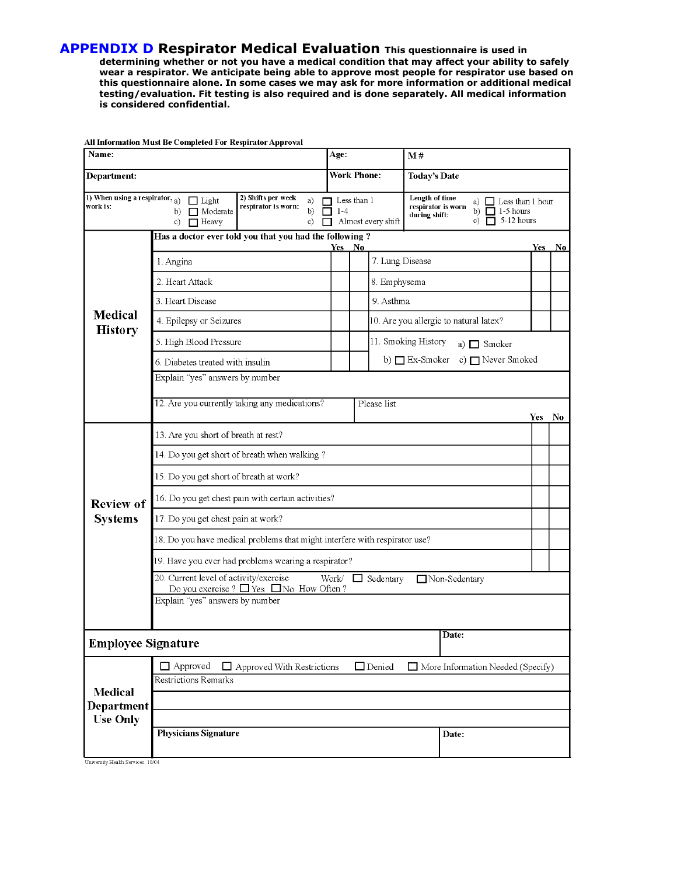**APPENDIX D Respirator Medical Evaluation This questionnaire is used in**

**determining whether or not you have a medical condition that may affect your ability to safely wear a respirator. We anticipate being able to approve most people for respirator use based on this questionnaire alone. In some cases we may ask for more information or additional medical testing/evaluation. Fit testing is also required and is done separately. All medical information is considered confidential.**

| Name:                                                                                                                                                                  |                                                                                                                                            |                                              | Age: |                                          | M#                                                                                                                                        |      |    |  |
|------------------------------------------------------------------------------------------------------------------------------------------------------------------------|--------------------------------------------------------------------------------------------------------------------------------------------|----------------------------------------------|------|------------------------------------------|-------------------------------------------------------------------------------------------------------------------------------------------|------|----|--|
| Department:                                                                                                                                                            |                                                                                                                                            | <b>Work Phone:</b>                           |      |                                          | <b>Today's Date</b>                                                                                                                       |      |    |  |
| 1) When using a respirator, $_{a)}$<br>2) Shifts per week<br>$\Box$ Light<br>a)<br>work is:<br>respirator is worn:<br>Moderate<br>b)<br>b)<br>c)<br>c)<br>$\Box$ Heavy |                                                                                                                                            | Less than 1<br>$1 - 4$<br>Almost every shift |      |                                          | Length of time<br>Less than 1 hour<br>a) $\perp$<br>respirator is worn<br>b) $\Box$ 1-5 hours<br>during shift:<br>$\Box$ 5-12 hours<br>c) |      |    |  |
|                                                                                                                                                                        | Has a doctor ever told you that you had the following?<br>Yes<br>No<br>Yes<br>No.                                                          |                                              |      |                                          |                                                                                                                                           |      |    |  |
| Medical<br><b>History</b>                                                                                                                                              | 1. Angina                                                                                                                                  |                                              |      | 7. Lung Disease                          |                                                                                                                                           |      |    |  |
|                                                                                                                                                                        | 2. Heart Attack                                                                                                                            |                                              |      | 8. Emphysema                             |                                                                                                                                           |      |    |  |
|                                                                                                                                                                        | 3. Heart Disease                                                                                                                           |                                              |      | 9. Asthma                                |                                                                                                                                           |      |    |  |
|                                                                                                                                                                        | 4. Epilepsy or Seizures                                                                                                                    |                                              |      |                                          | 10. Are you allergic to natural latex?                                                                                                    |      |    |  |
|                                                                                                                                                                        | 5. High Blood Pressure                                                                                                                     |                                              |      | 11. Smoking History<br>a) $\Box$ Smoker  |                                                                                                                                           |      |    |  |
|                                                                                                                                                                        | 6. Diabetes treated with insulin                                                                                                           |                                              |      | b) $\Box$ Ex-Smoker<br>c) □ Never Smoked |                                                                                                                                           |      |    |  |
|                                                                                                                                                                        | Explain "yes" answers by number                                                                                                            |                                              |      |                                          |                                                                                                                                           |      |    |  |
|                                                                                                                                                                        | 12. Are you currently taking any medications?                                                                                              |                                              |      | Please list                              |                                                                                                                                           | Yes. | No |  |
| <b>Review of</b><br><b>Systems</b>                                                                                                                                     | 13. Are you short of breath at rest?                                                                                                       |                                              |      |                                          |                                                                                                                                           |      |    |  |
|                                                                                                                                                                        | 14. Do you get short of breath when walking?                                                                                               |                                              |      |                                          |                                                                                                                                           |      |    |  |
|                                                                                                                                                                        | 15. Do you get short of breath at work?                                                                                                    |                                              |      |                                          |                                                                                                                                           |      |    |  |
|                                                                                                                                                                        | 16. Do you get chest pain with certain activities?                                                                                         |                                              |      |                                          |                                                                                                                                           |      |    |  |
|                                                                                                                                                                        | 17. Do you get chest pain at work?                                                                                                         |                                              |      |                                          |                                                                                                                                           |      |    |  |
|                                                                                                                                                                        | 18. Do you have medical problems that might interfere with respirator use?                                                                 |                                              |      |                                          |                                                                                                                                           |      |    |  |
|                                                                                                                                                                        | 19. Have you ever had problems wearing a respirator?                                                                                       |                                              |      |                                          |                                                                                                                                           |      |    |  |
|                                                                                                                                                                        | 20. Current level of activity/exercise<br>Work/<br>Non-Sedentary<br>$\Box$ Sedentary<br>Do you exercise ? $\Box$ Yes $\Box$ No How Often ? |                                              |      |                                          |                                                                                                                                           |      |    |  |
|                                                                                                                                                                        | Explain "yes" answers by number                                                                                                            |                                              |      |                                          |                                                                                                                                           |      |    |  |
|                                                                                                                                                                        |                                                                                                                                            |                                              |      |                                          |                                                                                                                                           |      |    |  |
| Date:<br><b>Employee Signature</b>                                                                                                                                     |                                                                                                                                            |                                              |      |                                          |                                                                                                                                           |      |    |  |
| <b>Medical</b>                                                                                                                                                         | $\Box$ Approved<br>$\Box$ Denied<br>$\Box$ Approved With Restrictions<br>$\Box$ More Information Needed (Specify)                          |                                              |      |                                          |                                                                                                                                           |      |    |  |
|                                                                                                                                                                        | <b>Restrictions Remarks</b>                                                                                                                |                                              |      |                                          |                                                                                                                                           |      |    |  |
| Department                                                                                                                                                             |                                                                                                                                            |                                              |      |                                          |                                                                                                                                           |      |    |  |
| <b>Use Only</b>                                                                                                                                                        | <b>Physicians Signature</b>                                                                                                                |                                              |      |                                          | Date:                                                                                                                                     |      |    |  |
|                                                                                                                                                                        |                                                                                                                                            |                                              |      |                                          |                                                                                                                                           |      |    |  |

All Information Must Be Completed For Respirator Approval

University Health Services 10/04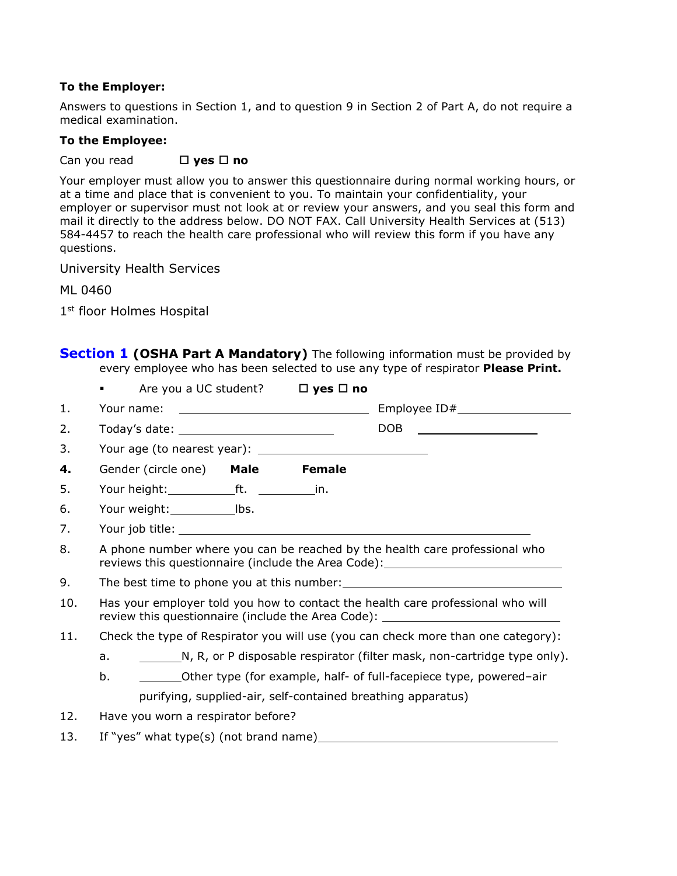## **To the Employer:**

Answers to questions in Section 1, and to question 9 in Section 2 of Part A, do not require a medical examination.

## **To the Employee:**

Can you read **□ yes** □ no

Your employer must allow you to answer this questionnaire during normal working hours, or at a time and place that is convenient to you. To maintain your confidentiality, your employer or supervisor must not look at or review your answers, and you seal this form and mail it directly to the address below. DO NOT FAX. Call University Health Services at (513) 584-4457 to reach the health care professional who will review this form if you have any questions.

University Health Services

ML 0460

1st floor Holmes Hospital

|     | <b>Section 1 (OSHA Part A Mandatory)</b> The following information must be provided by<br>every employee who has been selected to use any type of respirator Please Print.                                            |                        |
|-----|-----------------------------------------------------------------------------------------------------------------------------------------------------------------------------------------------------------------------|------------------------|
|     | Are you a UC student? $\Box$ yes $\Box$ no                                                                                                                                                                            |                        |
| 1.  |                                                                                                                                                                                                                       |                        |
| 2.  | Today's date: ________________________________                                                                                                                                                                        | DOB __________________ |
| 3.  |                                                                                                                                                                                                                       |                        |
| 4.  | Gender (circle one) Male<br><b>Female</b>                                                                                                                                                                             |                        |
| 5.  |                                                                                                                                                                                                                       |                        |
| 6.  |                                                                                                                                                                                                                       |                        |
| 7.  |                                                                                                                                                                                                                       |                        |
| 8.  | A phone number where you can be reached by the health care professional who<br>reviews this questionnaire (include the Area Code): ____________________________                                                       |                        |
| 9.  |                                                                                                                                                                                                                       |                        |
| 10. | Has your employer told you how to contact the health care professional who will<br>review this questionnaire (include the Area Code): \[\essequentility contact review this questionnaire (include the Area Code): \] |                        |
| 11. | Check the type of Respirator you will use (you can check more than one category):                                                                                                                                     |                        |
|     | N, R, or P disposable respirator (filter mask, non-cartridge type only).<br>a.                                                                                                                                        |                        |
|     | Other type (for example, half- of full-facepiece type, powered-air<br>b.                                                                                                                                              |                        |
|     | purifying, supplied-air, self-contained breathing apparatus)                                                                                                                                                          |                        |
| 12. | Have you worn a respirator before?                                                                                                                                                                                    |                        |
|     |                                                                                                                                                                                                                       |                        |

13. If "yes" what type(s) (not brand name)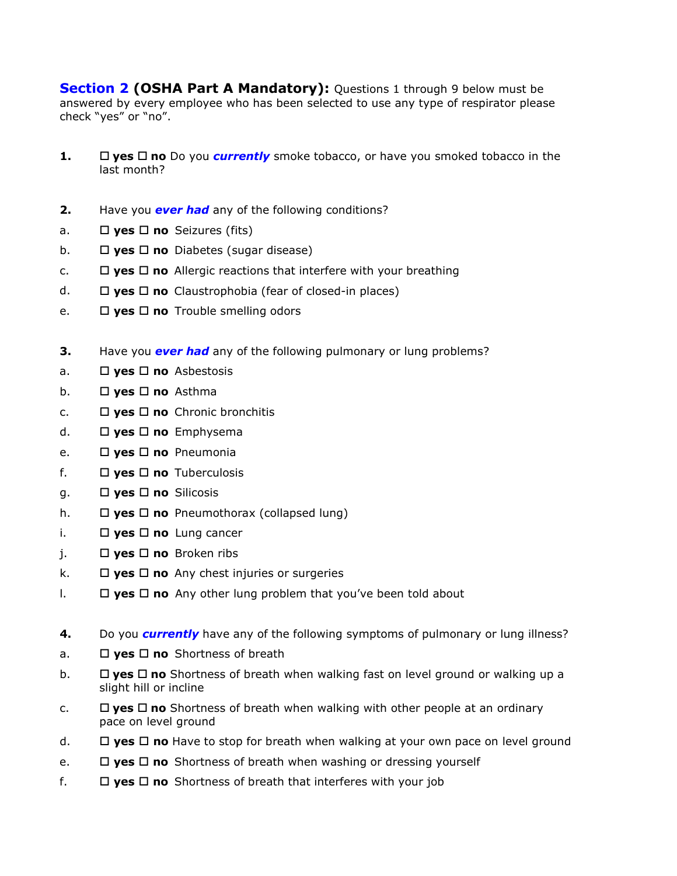**Section 2 (OSHA Part A Mandatory):** Questions 1 through 9 below must be answered by every employee who has been selected to use any type of respirator please check "yes" or "no".

- **1.**  $\Box$  **yes**  $\Box$  **no** Do you *currently* smoke tobacco, or have you smoked tobacco in the last month?
- **2.** Have you *ever had* any of the following conditions?
- a. □ yes □ no Seizures (fits)
- b. **yes no** Diabetes (sugar disease)
- c.  $\Box$  **yes**  $\Box$  **no** Allergic reactions that interfere with your breathing
- d. **yes no** Claustrophobia (fear of closed-in places)
- e. **yes no** Trouble smelling odors
- **3.** Have you *ever had* any of the following pulmonary or lung problems?
- a. **yes no** Asbestosis
- b. **yes no** Asthma
- c. **yes no** Chronic bronchitis
- d. **yes no** Emphysema
- e. **yes no** Pneumonia
- f.  $\Box$  **yes**  $\Box$  **no** Tuberculosis
- g. **yes no** Silicosis
- h. **□ yes □ no** Pneumothorax (collapsed lung)
- i.  $\Box$  **yes**  $\Box$  **no** Lung cancer
- j. **yes no** Broken ribs
- k.  $\Box$  **yes**  $\Box$  **no** Any chest injuries or surgeries
- l. **yes no** Any other lung problem that you've been told about
- **4.** Do you *currently* have any of the following symptoms of pulmonary or lung illness?
- a. **□ yes □ no** Shortness of breath
- b. **□ yes □ no** Shortness of breath when walking fast on level ground or walking up a slight hill or incline
- c.  $\square$  **yes**  $\square$  **no** Shortness of breath when walking with other people at an ordinary pace on level ground
- d. **yes no** Have to stop for breath when walking at your own pace on level ground
- e.  $\Box$  **yes**  $\Box$  **no** Shortness of breath when washing or dressing yourself
- f.  $\Box$  **yes**  $\Box$  **no** Shortness of breath that interferes with your job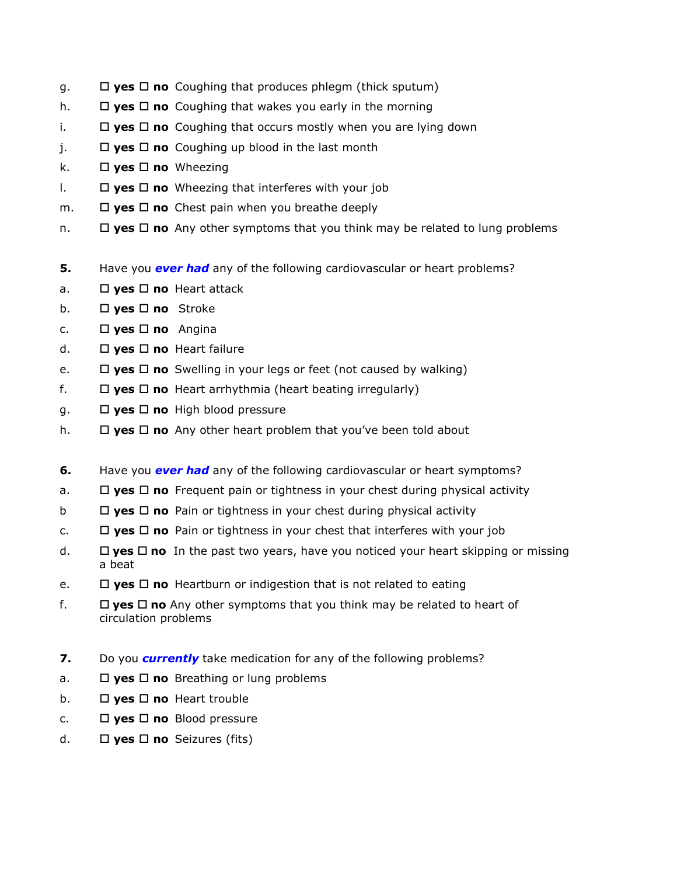- g. **yes no** Coughing that produces phlegm (thick sputum)
- h.  $\Box$  **yes**  $\Box$  **no** Coughing that wakes you early in the morning
- i. **yes no** Coughing that occurs mostly when you are lying down
- $i.$   $\square$  **yes**  $\square$  **no** Coughing up blood in the last month
- k. **yes no** Wheezing
- $\Box$  **yes**  $\Box$  **no** Wheezing that interferes with your job
- m.  $\Box$  **yes**  $\Box$  **no** Chest pain when you breathe deeply
- n.  $\Box$  **yes**  $\Box$  **no** Any other symptoms that you think may be related to lung problems
- **5.** Have you **ever had** any of the following cardiovascular or heart problems?
- a. □ yes □ no Heart attack
- b. **yes no** Stroke
- c. **yes no** Angina
- d. **yes no** Heart failure
- e.  $\Box$  **yes**  $\Box$  **no** Swelling in your legs or feet (not caused by walking)
- f.  $\Box$  **yes**  $\Box$  **no** Heart arrhythmia (heart beating irregularly)
- g. **yes no** High blood pressure
- h. **yes no** Any other heart problem that you've been told about
- **6.** Have you *ever had* any of the following cardiovascular or heart symptoms?
- a. **yes no** Frequent pain or tightness in your chest during physical activity
- b **yes no** Pain or tightness in your chest during physical activity
- c.  $\Box$  **yes**  $\Box$  **no** Pain or tightness in your chest that interferes with your job
- d. **□ yes □ no** In the past two years, have you noticed your heart skipping or missing a beat
- e.  $\Box$  **yes**  $\Box$  **no** Heartburn or indigestion that is not related to eating
- f.  $\square$  **yes**  $\square$  **no** Any other symptoms that you think may be related to heart of circulation problems
- **7.** Do you *currently* take medication for any of the following problems?
- a.  $\Box$  **yes**  $\Box$  **no** Breathing or lung problems
- b. **yes no** Heart trouble
- c.  $\Box$  **yes**  $\Box$  **no** Blood pressure
- d. **yes no** Seizures (fits)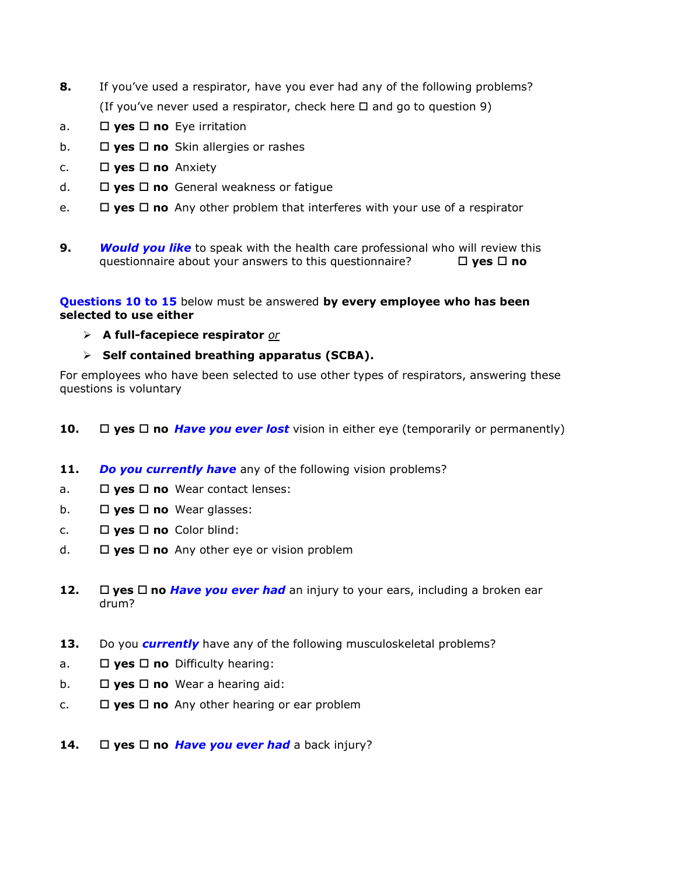- **8.** If you've used a respirator, have you ever had any of the following problems? (If you've never used a respirator, check here  $\Box$  and go to question 9)
- a. □ yes □ no Eye irritation
- b. **yes no** Skin allergies or rashes
- c.  $\Box$  **yes**  $\Box$  **no** Anxiety
- d. **yes no** General weakness or fatigue
- e.  $\Box$  **yes**  $\Box$  **no** Any other problem that interferes with your use of a respirator
- **9.** *Would you like* to speak with the health care professional who will review this questionnaire about your answers to this questionnaire? **yes no**

**Questions 10 to 15** below must be answered **by every employee who has been selected to use either**

- **A full-facepiece respirator** *or*
- **Self contained breathing apparatus (SCBA).**

For employees who have been selected to use other types of respirators, answering these questions is voluntary

- **10.** □ yes □ no *Have you ever lost* vision in either eye (temporarily or permanently)
- **11.** *Do you currently have* any of the following vision problems?
- a. **□ yes □ no** Wear contact lenses:
- b. **yes no** Wear glasses:
- c. **yes no** Color blind:
- d.  $\Box$  **yes**  $\Box$  **no** Any other eye or vision problem
- **12.**  $\Box$  yes  $\Box$  no *Have you ever had* an injury to your ears, including a broken ear drum?
- **13.** Do you *currently* have any of the following musculoskeletal problems?
- a. **□ yes □ no** Difficulty hearing:
- b.  $\Box$  **yes**  $\Box$  **no** Wear a hearing aid:
- c.  $\Box$  **yes**  $\Box$  **no** Any other hearing or ear problem
- **14.**  $\Box$  **yes**  $\Box$  **no** *Have you ever had* a back injury?